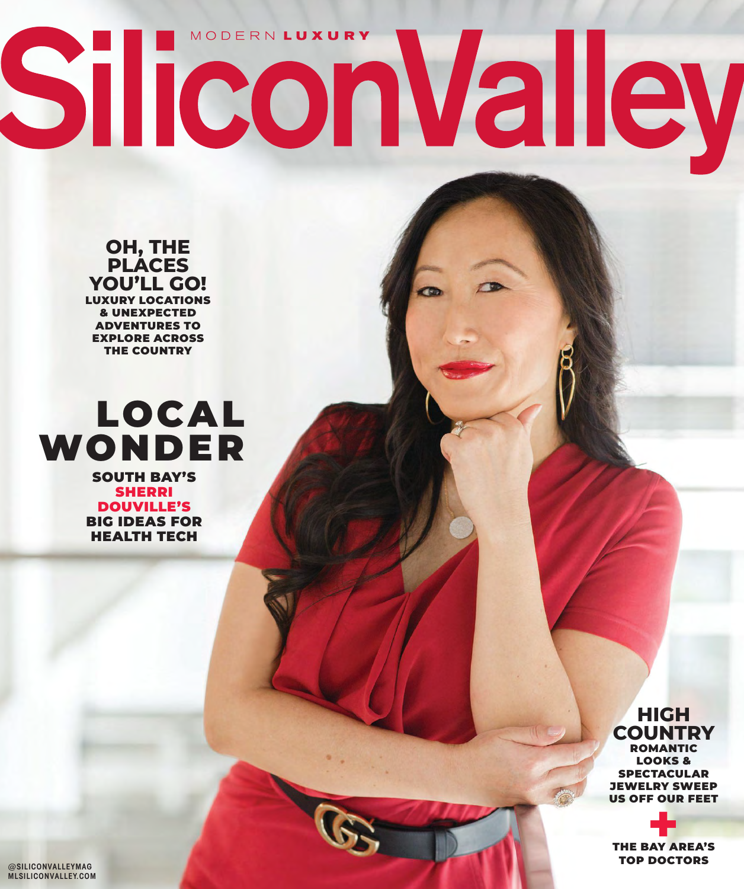# MODERN LUXURY SiliconValley

**OH, THE PLACES YOU'LL GO!** LUXURY LOCATIONS & UNEXPECTED ADVENTURES TO EXPLORE ACROSS THE COUNTRY



SHERRI DOUVILLE'S BIG IDEAS FOR HEALTH TECH

> **COUNTRY** ROMANTIC LOOKS & SPECTACULAR JEWELRY SWEEP US OFF OUR FEET

**HIGH** 

**THE BAY AREA'S** TOP DOCTORS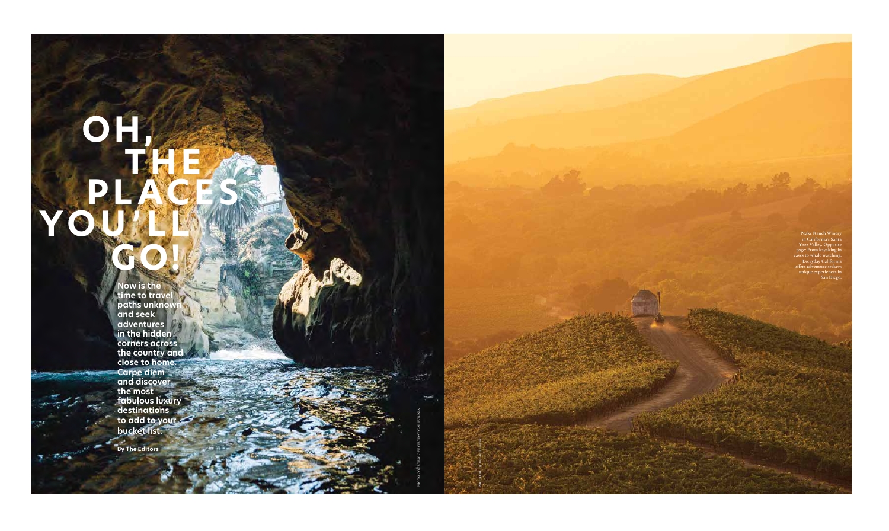**PHOTO COURTESY OF EVERYDAY CALIFORNIA**

**PHOTO BY CRAFT & CLUSTER**

# **OH, THE E PLACES** YO **GO!**

**Now is the time to travel paths unknown and seek adventures in the hidden corners across the country and close to home. Carpe diem and discover the most fabulous luxury destinations to add to your bucket list.**

**By The Editors**

 $T_{\rm eff}$ 

**Peake Ranch Winery in California's Santa Ynez Valley. Opposite page: From kayaking in c** ves to whale watch **Everyday Califor offers adventure seekers unique experiences in San Diego.**